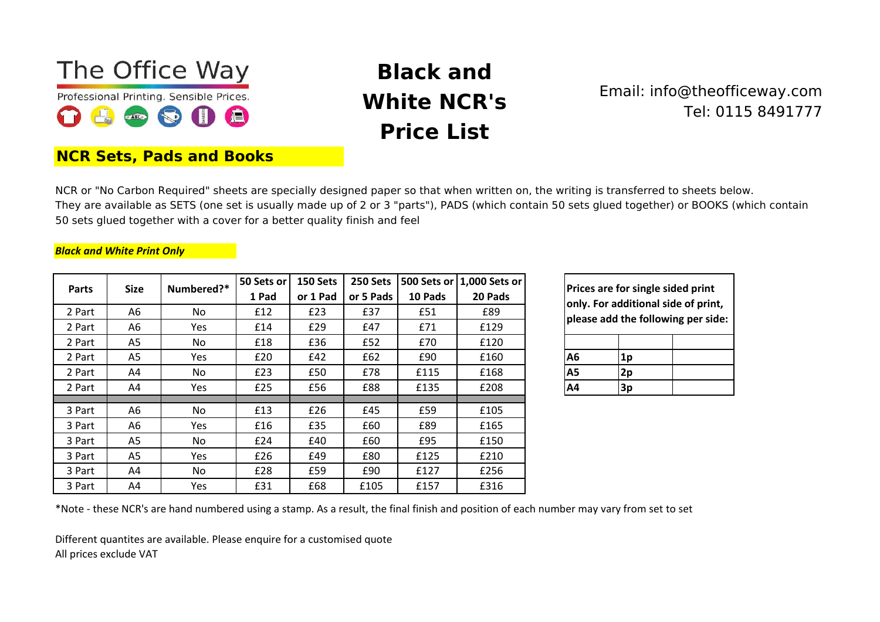

**NCR Sets, Pads and Books**

## **Black and White NCR's Price List**

## Email: info@theofficeway.com Tel: 0115 8491777

NCR or "No Carbon Required" sheets are specially designed paper so that when written on, the writing is transferred to sheets below. They are available as SETS (one set is usually made up of 2 or 3 "parts"), PADS (which contain 50 sets glued together) or BOOKS (which contain 50 sets glued together with a cover for a better quality finish and feel

#### *Black and White Print Only*

| <b>Size</b><br><b>Parts</b> |    | Numbered?* | 50 Sets or | 150 Sets | 250 Sets  |         | 500 Sets or 1,000 Sets or |    |                                         |    |
|-----------------------------|----|------------|------------|----------|-----------|---------|---------------------------|----|-----------------------------------------|----|
|                             |    |            | 1 Pad      | or 1 Pad | or 5 Pads | 10 Pads | 20 Pads                   |    | <b>Prices are for</b><br>only. For addi |    |
| 2 Part                      | A6 | No.        | £12        | £23      | £37       | £51     | £89                       |    | please add the                          |    |
| 2 Part                      | A6 | Yes        | £14        | £29      | £47       | £71     | £129                      |    |                                         |    |
| 2 Part                      | A5 | No         | £18        | £36      | £52       | £70     | £120                      |    |                                         |    |
| 2 Part                      | A5 | Yes        | £20        | £42      | £62       | £90     | £160                      | A6 |                                         | 1p |
| 2 Part                      | A4 | No         | £23        | £50      | £78       | £115    | £168                      | А5 |                                         | 2p |
| 2 Part                      | A4 | Yes        | £25        | £56      | £88       | £135    | £208                      | A4 |                                         | 3p |
|                             |    |            |            |          |           |         |                           |    |                                         |    |
| 3 Part                      | A6 | No.        | £13        | £26      | £45       | £59     | £105                      |    |                                         |    |
| 3 Part                      | A6 | Yes        | £16        | £35      | £60       | £89     | £165                      |    |                                         |    |
| 3 Part                      | A5 | No         | £24        | £40      | £60       | £95     | £150                      |    |                                         |    |
| 3 Part                      | A5 | Yes        | £26        | £49      | £80       | £125    | £210                      |    |                                         |    |
| 3 Part                      | A4 | No         | £28        | £59      | £90       | £127    | £256                      |    |                                         |    |
| 3 Part                      | A4 | Yes        | £31        | £68      | £105      | £157    | £316                      |    |                                         |    |

**Prices are for single sided print only. For additional side of print, please add the following per side:**

| А6 | 1 <sub>p</sub> |  |
|----|----------------|--|
| А5 | 2p             |  |
| А4 | 3p             |  |

\*Note - these NCR's are hand numbered using a stamp. As a result, the final finish and position of each number may vary from set to set

Different quantites are available. Please enquire for a customised quote

All prices exclude VAT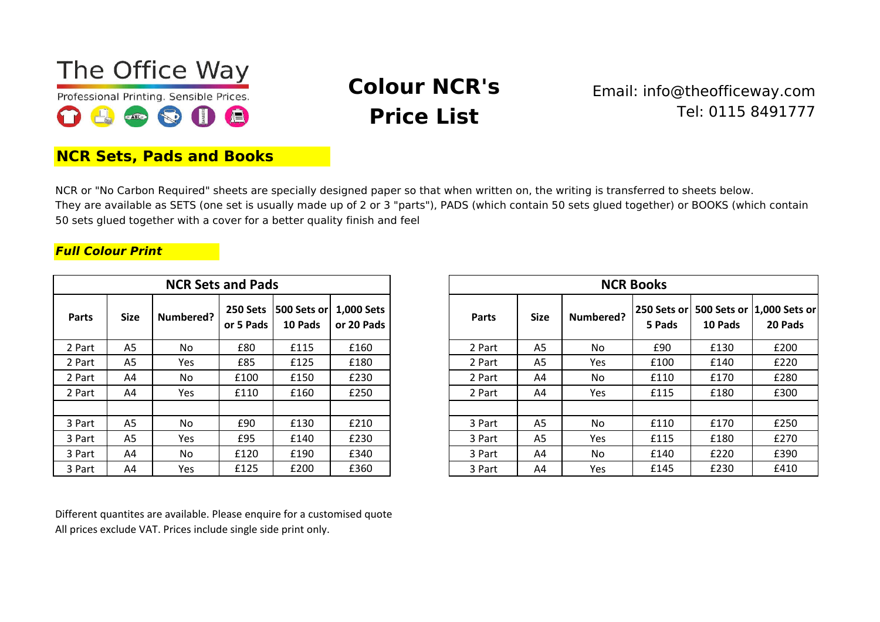

# **Colour NCR's Price List**

## Email: info@theofficeway.com Tel: 0115 8491777

### **NCR Sets, Pads and Books**

NCR or "No Carbon Required" sheets are specially designed paper so that when written on, the writing is transferred to sheets below. They are available as SETS (one set is usually made up of 2 or 3 "parts"), PADS (which contain 50 sets glued together) or BOOKS (which contain 50 sets glued together with a cover for a better quality finish and feel

#### *Full Colour Print*

|              |             | <b>NCR Sets and Pads</b> |                       |                        |                          |              | <b>NCR Books</b> |            |                       |
|--------------|-------------|--------------------------|-----------------------|------------------------|--------------------------|--------------|------------------|------------|-----------------------|
| <b>Parts</b> | <b>Size</b> | Numbered?                | 250 Sets<br>or 5 Pads | 500 Sets or<br>10 Pads | 1,000 Sets<br>or 20 Pads | <b>Parts</b> | <b>Size</b>      | Numbered?  | <b>250 Se</b><br>5 Pa |
| 2 Part       | A5          | No.                      | £80                   | £115                   | £160                     | 2 Part       | A <sub>5</sub>   | No.        | £9                    |
| 2 Part       | A5          | Yes                      | £85                   | £125                   | £180                     | 2 Part       | A <sub>5</sub>   | Yes        | £1C                   |
| 2 Part       | A4          | No.                      | £100                  | £150                   | £230                     | 2 Part       | A4               | No.        | £11                   |
| 2 Part       | A4          | Yes                      | £110                  | £160                   | £250                     | 2 Part       | A4               | <b>Yes</b> | £11                   |
|              |             |                          |                       |                        |                          |              |                  |            |                       |
| 3 Part       | A5          | No.                      | £90                   | £130                   | £210                     | 3 Part       | A5               | No.        | £11                   |
| 3 Part       | A5          | Yes                      | £95                   | £140                   | £230                     | 3 Part       | A5               | <b>Yes</b> | £11                   |
| 3 Part       | A4          | No.                      | £120                  | £190                   | £340                     | 3 Part       | A4               | No.        | £14                   |
| 3 Part       | Α4          | Yes                      | £125                  | £200                   | £360                     | 3 Part       | A4               | Yes        | £14                   |

| <b>NCR Sets and Pads</b> |                |           |           |                                                | <b>NCR Books</b> |              |                |            |        |         |                                                     |
|--------------------------|----------------|-----------|-----------|------------------------------------------------|------------------|--------------|----------------|------------|--------|---------|-----------------------------------------------------|
| <b>Parts</b>             | <b>Size</b>    | Numbered? | or 5 Pads | 250 Sets   500 Sets or   1,000 Sets<br>10 Pads | or 20 Pads       | <b>Parts</b> | <b>Size</b>    | Numbered?  | 5 Pads | 10 Pads | 250 Sets or  500 Sets or  1,000 Sets or <br>20 Pads |
| 2 Part                   | A <sub>5</sub> | <b>No</b> | £80       | £115                                           | £160             | 2 Part       | A <sub>5</sub> | <b>No</b>  | £90    | £130    | £200                                                |
| 2 Part                   | A5             | Yes       | £85       | £125                                           | £180             | 2 Part       | A <sub>5</sub> | <b>Yes</b> | £100   | £140    | £220                                                |
| 2 Part                   | A4             | No        | £100      | £150                                           | £230             | 2 Part       | A4             | No         | £110   | £170    | £280                                                |
| 2 Part                   | A4             | Yes       | £110      | £160                                           | £250             | 2 Part       | A4             | <b>Yes</b> | £115   | £180    | £300                                                |
|                          |                |           |           |                                                |                  |              |                |            |        |         |                                                     |
| 3 Part                   | A5             | No        | £90       | £130                                           | £210             | 3 Part       | A <sub>5</sub> | No         | £110   | £170    | £250                                                |
| 3 Part                   | A <sub>5</sub> | Yes       | £95       | £140                                           | £230             | 3 Part       | A <sub>5</sub> | <b>Yes</b> | £115   | £180    | £270                                                |
| 3 Part                   | A4             | <b>No</b> | £120      | £190                                           | £340             | 3 Part       | A4             | No         | £140   | £220    | £390                                                |
| 3 Part                   | A4             | Yes       | £125      | £200                                           | £360             | 3 Part       | A4             | Yes        | £145   | £230    | £410                                                |

Different quantites are available. Please enquire for a customised quote All prices exclude VAT. Prices include single side print only.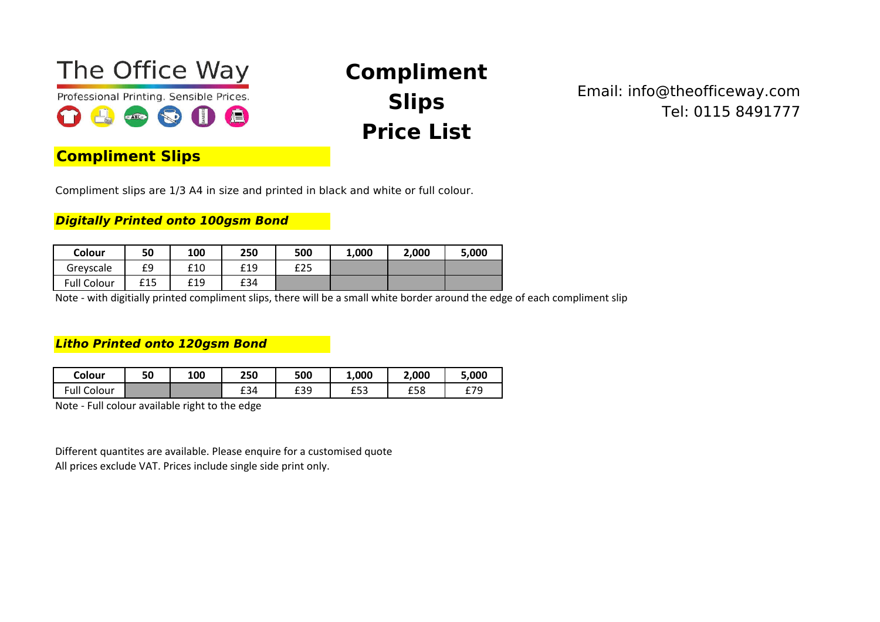

# **Compliment Slips Price List**

Email: info@theofficeway.com Tel: 0115 8491777

## **Compliment Slips**

Compliment slips are 1/3 A4 in size and printed in black and white or full colour.

*Digitally Printed onto 100gsm Bond*

| Colour             | 50  | 100 | 250 | 500 | 1,000 | 2,000 | 5,000 |
|--------------------|-----|-----|-----|-----|-------|-------|-------|
| Greyscale          | £9  | £10 | £19 | £25 |       |       |       |
| <b>Full Colour</b> | £15 | £19 | £34 |     |       |       |       |

Note - with digitially printed compliment slips, there will be a small white border around the edge of each compliment slip

#### *Litho Printed onto 120gsm Bond*

| Colour             | 50 | 100 | 250 | 500 | 1,000      | 2,000 | 5,000 |
|--------------------|----|-----|-----|-----|------------|-------|-------|
| <b>Full Colour</b> |    |     | £34 | £39 | よこつ<br>⊥ບບ | £58   | £79   |

Note - Full colour available right to the edge

Different quantites are available. Please enquire for a customised quote All prices exclude VAT. Prices include single side print only.